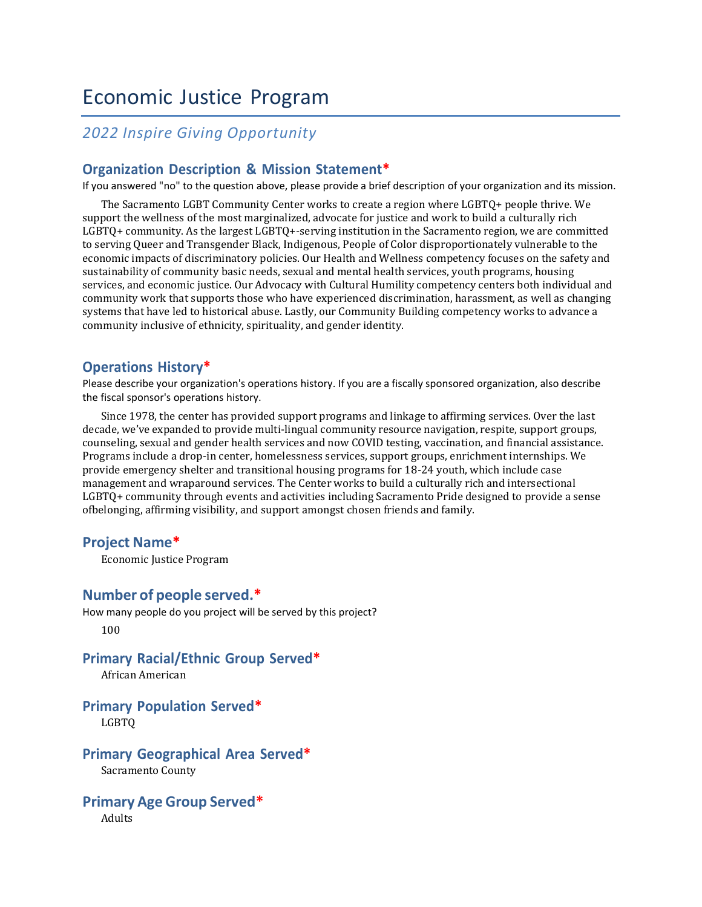# Economic Justice Program

# *2022 Inspire Giving Opportunity*

#### **Organization Description & Mission Statement\***

If you answered "no" to the question above, please provide a brief description of your organization and its mission.

The Sacramento LGBT Community Center works to create a region where LGBTQ+ people thrive. We support the wellness of the most marginalized, advocate for justice and work to build a culturally rich LGBTQ+ community. As the largest LGBTQ+-serving institution in the Sacramento region, we are committed to serving Queer and Transgender Black, Indigenous, People of Color disproportionately vulnerable to the economic impacts of discriminatory policies. Our Health and Wellness competency focuses on the safety and sustainability of community basic needs, sexual and mental health services, youth programs, housing services, and economic justice. Our Advocacy with Cultural Humility competency centers both individual and community work that supports those who have experienced discrimination, harassment, as well as changing systems that have led to historical abuse. Lastly, our Community Building competency works to advance a community inclusive of ethnicity, spirituality, and gender identity.

#### **Operations History\***

Please describe your organization's operations history. If you are a fiscally sponsored organization, also describe the fiscal sponsor's operations history.

Since 1978, the center has provided support programs and linkage to affirming services. Over the last decade, we've expanded to provide multi-lingual community resource navigation, respite, support groups, counseling, sexual and gender health services and now COVID testing, vaccination, and financial assistance. Programs include a drop-in center, homelessness services, support groups, enrichment internships. We provide emergency shelter and transitional housing programs for 18-24 youth, which include case management and wraparound services. The Center works to build a culturally rich and intersectional LGBTQ+ community through events and activities including Sacramento Pride designed to provide a sense ofbelonging, affirming visibility, and support amongst chosen friends and family.

#### **Project Name\***

Economic Justice Program

#### **Number of people served.\***

How many people do you project will be served by this project? 100

#### **Primary Racial/Ethnic Group Served\***

African American

# **Primary Population Served\***

LGBTQ

#### **Primary Geographical Area Served\***

Sacramento County

## **Primary Age Group Served\***

Adults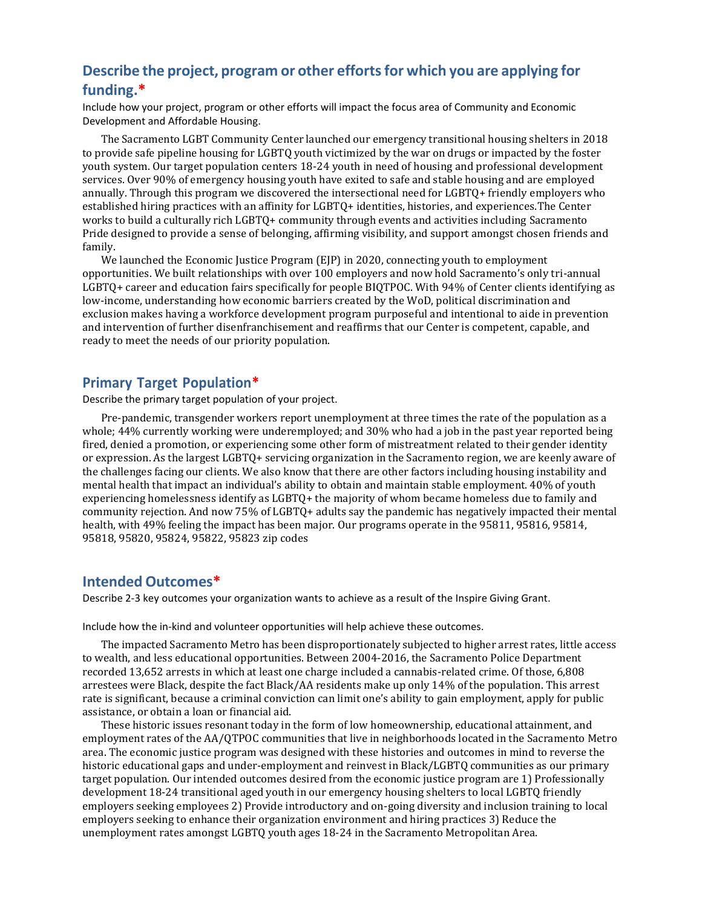# **Describe the project, program or other effortsfor which you are applying for funding.\***

Include how your project, program or other efforts will impact the focus area of Community and Economic Development and Affordable Housing.

The Sacramento LGBT Community Center launched our emergency transitional housing shelters in 2018 to provide safe pipeline housing for LGBTQ youth victimized by the war on drugs or impacted by the foster youth system. Our target population centers 18-24 youth in need of housing and professional development services. Over 90% of emergency housing youth have exited to safe and stable housing and are employed annually. Through this program we discovered the intersectional need for LGBTQ+ friendly employers who established hiring practices with an affinity for LGBTQ+ identities, histories, and experiences.The Center works to build a culturally rich LGBTQ+ community through events and activities including Sacramento Pride designed to provide a sense of belonging, affirming visibility, and support amongst chosen friends and family.

We launched the Economic Justice Program (EJP) in 2020, connecting youth to employment opportunities. We built relationships with over 100 employers and now hold Sacramento's only tri-annual LGBTQ+ career and education fairs specifically for people BIQTPOC. With 94% of Center clients identifying as low-income, understanding how economic barriers created by the WoD, political discrimination and exclusion makes having a workforce development program purposeful and intentional to aide in prevention and intervention of further disenfranchisement and reaffirms that our Center is competent, capable, and ready to meet the needs of our priority population.

#### **Primary Target Population\***

Describe the primary target population of your project.

Pre-pandemic, transgender workers report unemployment at three times the rate of the population as a whole; 44% currently working were underemployed; and 30% who had a job in the past year reported being fired, denied a promotion, or experiencing some other form of mistreatment related to their gender identity or expression. As the largest LGBTQ+ servicing organization in the Sacramento region, we are keenly aware of the challenges facing our clients. We also know that there are other factors including housing instability and mental health that impact an individual's ability to obtain and maintain stable employment. 40% of youth experiencing homelessness identify as LGBTQ+ the majority of whom became homeless due to family and community rejection. And now 75% of LGBTQ+ adults say the pandemic has negatively impacted their mental health, with 49% feeling the impact has been major. Our programs operate in the 95811, 95816, 95814, 95818, 95820, 95824, 95822, 95823 zip codes

#### **Intended Outcomes\***

Describe 2-3 key outcomes your organization wants to achieve as a result of the Inspire Giving Grant.

Include how the in-kind and volunteer opportunities will help achieve these outcomes.

The impacted Sacramento Metro has been disproportionately subjected to higher arrest rates, little access to wealth, and less educational opportunities. Between 2004-2016, the Sacramento Police Department recorded 13,652 arrests in which at least one charge included a cannabis-related crime. Of those, 6,808 arrestees were Black, despite the fact Black/AA residents make up only 14% of the population. This arrest rate is significant, because a criminal conviction can limit one's ability to gain employment, apply for public assistance, or obtain a loan or financial aid.

These historic issues resonant today in the form of low homeownership, educational attainment, and employment rates of the AA/QTPOC communities that live in neighborhoods located in the Sacramento Metro area. The economic justice program was designed with these histories and outcomes in mind to reverse the historic educational gaps and under-employment and reinvest in Black/LGBTQ communities as our primary target population. Our intended outcomes desired from the economic justice program are 1) Professionally development 18-24 transitional aged youth in our emergency housing shelters to local LGBTQ friendly employers seeking employees 2) Provide introductory and on-going diversity and inclusion training to local employers seeking to enhance their organization environment and hiring practices 3) Reduce the unemployment rates amongst LGBTQ youth ages 18-24 in the Sacramento Metropolitan Area.